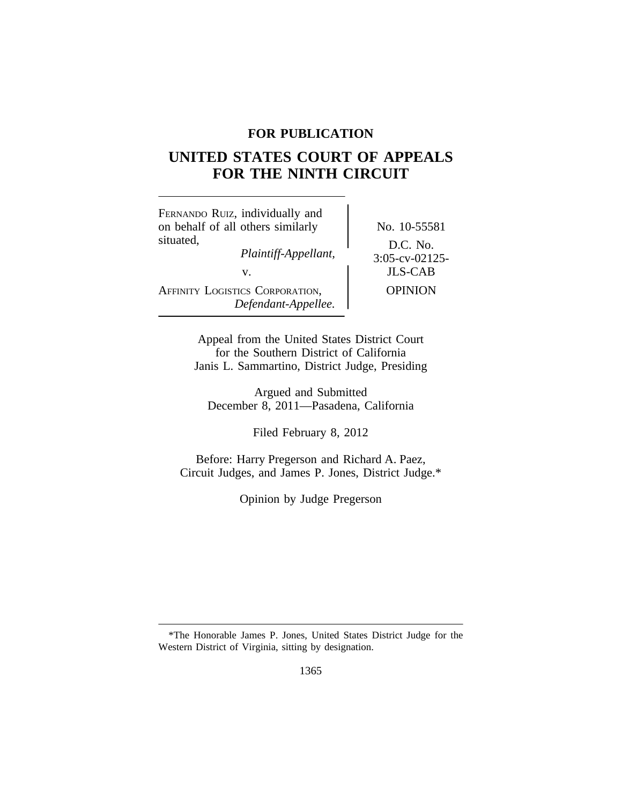## **FOR PUBLICATION**

# **UNITED STATES COURT OF APPEALS FOR THE NINTH CIRCUIT**

| FERNANDO RUIZ, individually and<br>on behalf of all others similarly | No. 10-55581                                    |
|----------------------------------------------------------------------|-------------------------------------------------|
| situated,<br>Plaintiff-Appellant,<br>V.                              | D.C. No.<br>$3:05$ -cv-02125-<br><b>JLS-CAB</b> |
| AFFINITY LOGISTICS CORPORATION,<br>Defendant-Appellee.               | <b>OPINION</b>                                  |

Appeal from the United States District Court for the Southern District of California Janis L. Sammartino, District Judge, Presiding

Argued and Submitted December 8, 2011—Pasadena, California

Filed February 8, 2012

Before: Harry Pregerson and Richard A. Paez, Circuit Judges, and James P. Jones, District Judge.\*

Opinion by Judge Pregerson

<sup>\*</sup>The Honorable James P. Jones, United States District Judge for the Western District of Virginia, sitting by designation.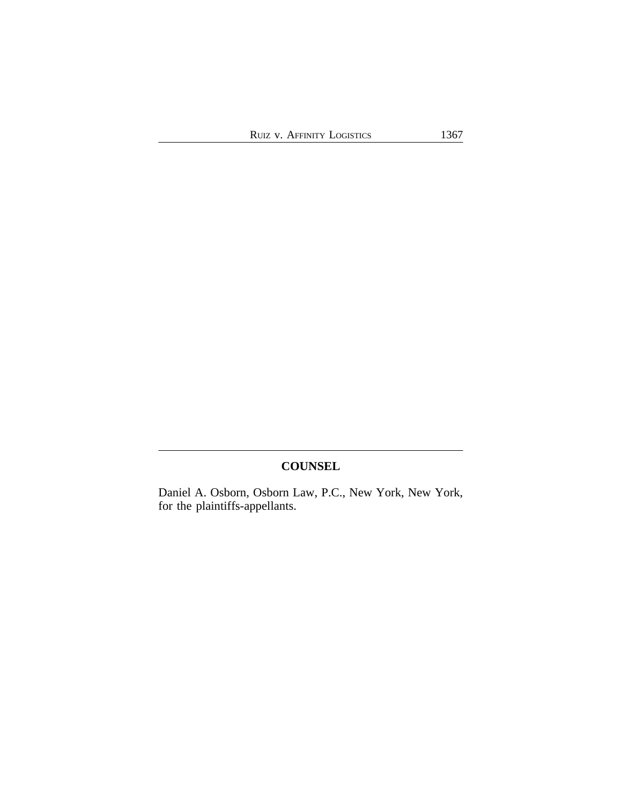## **COUNSEL**

Daniel A. Osborn, Osborn Law, P.C., New York, New York, for the plaintiffs-appellants.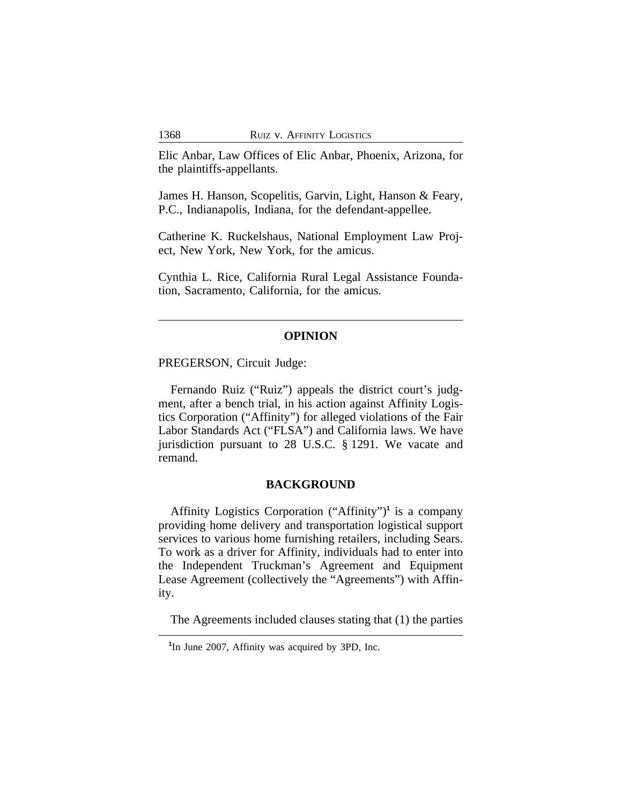Elic Anbar, Law Offices of Elic Anbar, Phoenix, Arizona, for the plaintiffs-appellants.

James H. Hanson, Scopelitis, Garvin, Light, Hanson & Feary, P.C., Indianapolis, Indiana, for the defendant-appellee.

Catherine K. Ruckelshaus, National Employment Law Project, New York, New York, for the amicus.

Cynthia L. Rice, California Rural Legal Assistance Foundation, Sacramento, California, for the amicus.

#### **OPINION**

PREGERSON, Circuit Judge:

Fernando Ruiz ("Ruiz") appeals the district court's judgment, after a bench trial, in his action against Affinity Logistics Corporation ("Affinity") for alleged violations of the Fair Labor Standards Act ("FLSA") and California laws. We have jurisdiction pursuant to 28 U.S.C. § 1291. We vacate and remand.

#### **BACKGROUND**

Affinity Logistics Corporation ("Affinity")**<sup>1</sup>** is a company providing home delivery and transportation logistical support services to various home furnishing retailers, including Sears. To work as a driver for Affinity, individuals had to enter into the Independent Truckman's Agreement and Equipment Lease Agreement (collectively the "Agreements") with Affinity.

The Agreements included clauses stating that (1) the parties

<sup>&</sup>lt;sup>1</sup>In June 2007, Affinity was acquired by 3PD, Inc.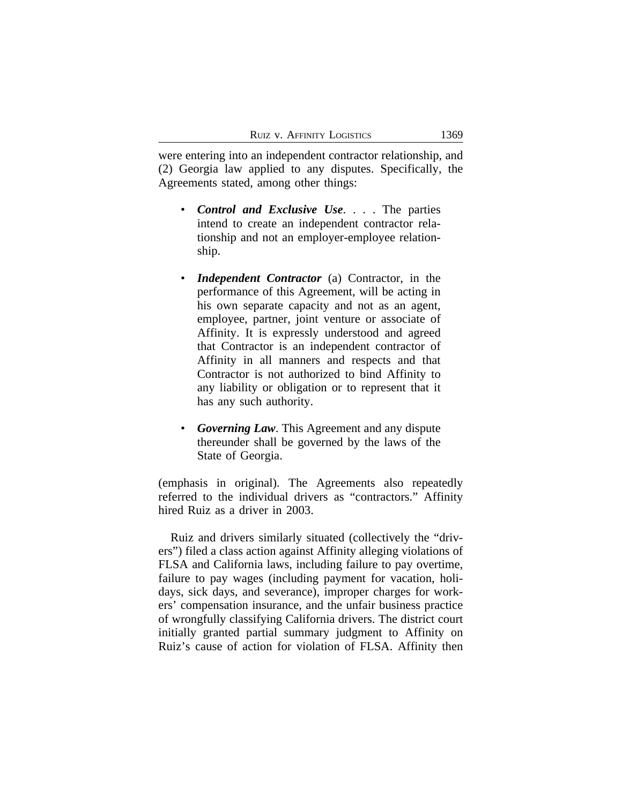were entering into an independent contractor relationship, and (2) Georgia law applied to any disputes. Specifically, the Agreements stated, among other things:

- *Control and Exclusive Use*. . . . The parties intend to create an independent contractor relationship and not an employer-employee relationship.
- *Independent Contractor* (a) Contractor, in the performance of this Agreement, will be acting in his own separate capacity and not as an agent, employee, partner, joint venture or associate of Affinity. It is expressly understood and agreed that Contractor is an independent contractor of Affinity in all manners and respects and that Contractor is not authorized to bind Affinity to any liability or obligation or to represent that it has any such authority.
- *Governing Law*. This Agreement and any dispute thereunder shall be governed by the laws of the State of Georgia.

(emphasis in original). The Agreements also repeatedly referred to the individual drivers as "contractors." Affinity hired Ruiz as a driver in 2003.

Ruiz and drivers similarly situated (collectively the "drivers") filed a class action against Affinity alleging violations of FLSA and California laws, including failure to pay overtime, failure to pay wages (including payment for vacation, holidays, sick days, and severance), improper charges for workers' compensation insurance, and the unfair business practice of wrongfully classifying California drivers. The district court initially granted partial summary judgment to Affinity on Ruiz's cause of action for violation of FLSA. Affinity then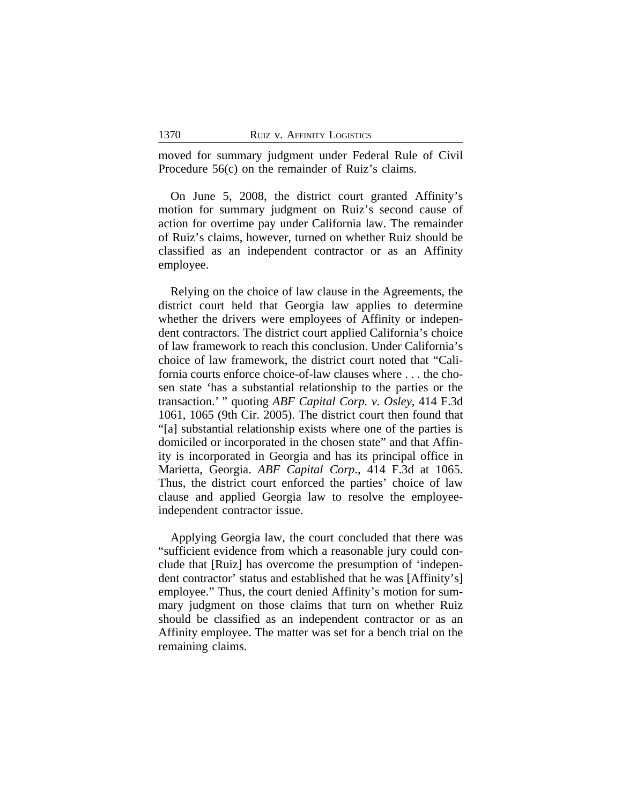moved for summary judgment under Federal Rule of Civil Procedure 56(c) on the remainder of Ruiz's claims.

On June 5, 2008, the district court granted Affinity's motion for summary judgment on Ruiz's second cause of action for overtime pay under California law. The remainder of Ruiz's claims, however, turned on whether Ruiz should be classified as an independent contractor or as an Affinity employee.

Relying on the choice of law clause in the Agreements, the district court held that Georgia law applies to determine whether the drivers were employees of Affinity or independent contractors. The district court applied California's choice of law framework to reach this conclusion. Under California's choice of law framework, the district court noted that "California courts enforce choice-of-law clauses where . . . the chosen state 'has a substantial relationship to the parties or the transaction.' " quoting *ABF Capital Corp. v. Osley*, 414 F.3d 1061, 1065 (9th Cir. 2005). The district court then found that "[a] substantial relationship exists where one of the parties is domiciled or incorporated in the chosen state" and that Affinity is incorporated in Georgia and has its principal office in Marietta, Georgia. *ABF Capital Corp*., 414 F.3d at 1065. Thus, the district court enforced the parties' choice of law clause and applied Georgia law to resolve the employeeindependent contractor issue.

Applying Georgia law, the court concluded that there was "sufficient evidence from which a reasonable jury could conclude that [Ruiz] has overcome the presumption of 'independent contractor' status and established that he was [Affinity's] employee." Thus, the court denied Affinity's motion for summary judgment on those claims that turn on whether Ruiz should be classified as an independent contractor or as an Affinity employee. The matter was set for a bench trial on the remaining claims.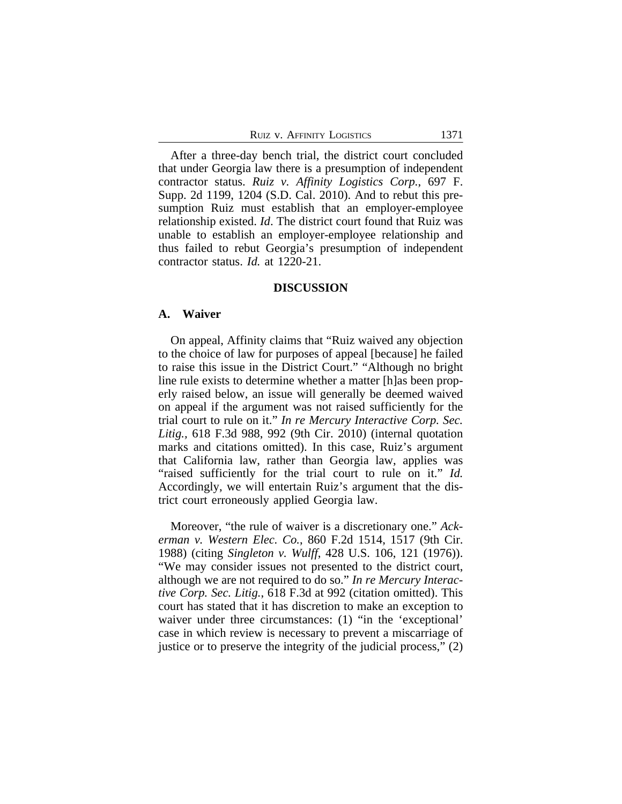After a three-day bench trial, the district court concluded that under Georgia law there is a presumption of independent contractor status. *Ruiz v. Affinity Logistics Corp.*, 697 F. Supp. 2d 1199, 1204 (S.D. Cal. 2010). And to rebut this presumption Ruiz must establish that an employer-employee relationship existed. *Id*. The district court found that Ruiz was unable to establish an employer-employee relationship and thus failed to rebut Georgia's presumption of independent contractor status. *Id.* at 1220-21.

#### **DISCUSSION**

#### **A. Waiver**

On appeal, Affinity claims that "Ruiz waived any objection to the choice of law for purposes of appeal [because] he failed to raise this issue in the District Court." "Although no bright line rule exists to determine whether a matter [h]as been properly raised below, an issue will generally be deemed waived on appeal if the argument was not raised sufficiently for the trial court to rule on it." *In re Mercury Interactive Corp. Sec. Litig.,* 618 F.3d 988, 992 (9th Cir. 2010) (internal quotation marks and citations omitted). In this case, Ruiz's argument that California law, rather than Georgia law, applies was "raised sufficiently for the trial court to rule on it." *Id.* Accordingly, we will entertain Ruiz's argument that the district court erroneously applied Georgia law.

Moreover, "the rule of waiver is a discretionary one." *Ackerman v. Western Elec. Co.*, 860 F.2d 1514, 1517 (9th Cir. 1988) (citing *Singleton v. Wulff*, 428 U.S. 106, 121 (1976)). "We may consider issues not presented to the district court, although we are not required to do so." *In re Mercury Interactive Corp. Sec. Litig.*, 618 F.3d at 992 (citation omitted). This court has stated that it has discretion to make an exception to waiver under three circumstances: (1) "in the 'exceptional' case in which review is necessary to prevent a miscarriage of justice or to preserve the integrity of the judicial process," (2)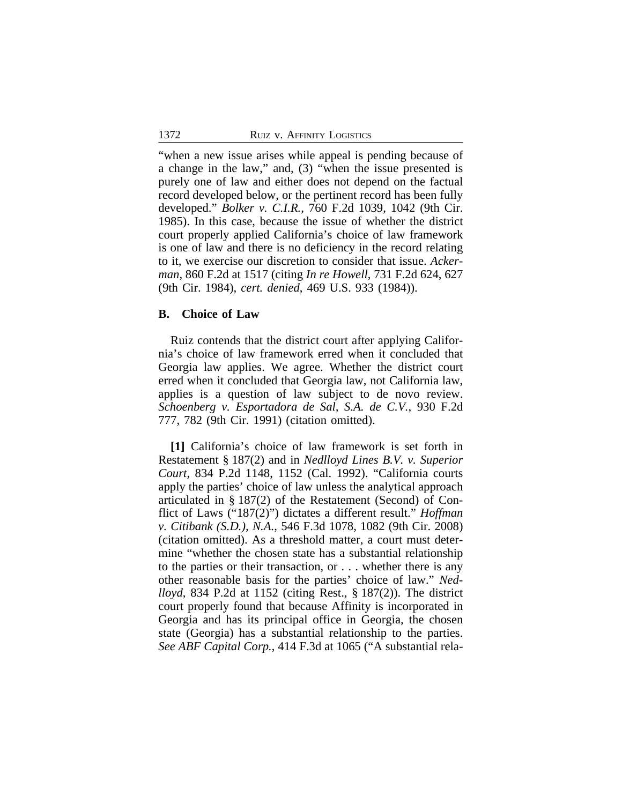"when a new issue arises while appeal is pending because of a change in the law," and, (3) "when the issue presented is purely one of law and either does not depend on the factual record developed below, or the pertinent record has been fully developed." *Bolker v. C.I.R.*, 760 F.2d 1039, 1042 (9th Cir. 1985). In this case, because the issue of whether the district court properly applied California's choice of law framework is one of law and there is no deficiency in the record relating to it, we exercise our discretion to consider that issue. *Ackerman*, 860 F.2d at 1517 (citing *In re Howell*, 731 F.2d 624, 627 (9th Cir. 1984), *cert. denied*, 469 U.S. 933 (1984)).

#### **B. Choice of Law**

Ruiz contends that the district court after applying California's choice of law framework erred when it concluded that Georgia law applies. We agree. Whether the district court erred when it concluded that Georgia law, not California law, applies is a question of law subject to de novo review. *Schoenberg v. Esportadora de Sal, S.A. de C.V.*, 930 F.2d 777, 782 (9th Cir. 1991) (citation omitted).

**[1]** California's choice of law framework is set forth in Restatement § 187(2) and in *Nedlloyd Lines B.V. v. Superior Court*, 834 P.2d 1148, 1152 (Cal. 1992). "California courts apply the parties' choice of law unless the analytical approach articulated in § 187(2) of the Restatement (Second) of Conflict of Laws ("187(2)") dictates a different result." *Hoffman v. Citibank (S.D.), N.A.*, 546 F.3d 1078, 1082 (9th Cir. 2008) (citation omitted). As a threshold matter, a court must determine "whether the chosen state has a substantial relationship to the parties or their transaction, or . . . whether there is any other reasonable basis for the parties' choice of law." *Nedlloyd*, 834 P.2d at 1152 (citing Rest., § 187(2)). The district court properly found that because Affinity is incorporated in Georgia and has its principal office in Georgia, the chosen state (Georgia) has a substantial relationship to the parties. *See ABF Capital Corp.*, 414 F.3d at 1065 ("A substantial rela-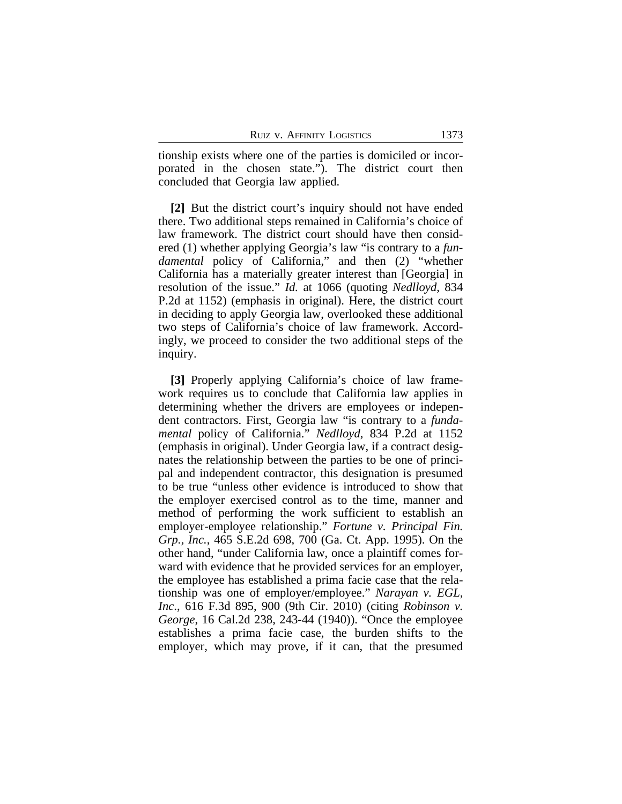tionship exists where one of the parties is domiciled or incorporated in the chosen state."). The district court then concluded that Georgia law applied.

**[2]** But the district court's inquiry should not have ended there. Two additional steps remained in California's choice of law framework. The district court should have then considered (1) whether applying Georgia's law "is contrary to a *fundamental* policy of California," and then (2) "whether California has a materially greater interest than [Georgia] in resolution of the issue." *Id.* at 1066 (quoting *Nedlloyd*, 834 P.2d at 1152) (emphasis in original). Here, the district court in deciding to apply Georgia law, overlooked these additional two steps of California's choice of law framework. Accordingly, we proceed to consider the two additional steps of the inquiry.

**[3]** Properly applying California's choice of law framework requires us to conclude that California law applies in determining whether the drivers are employees or independent contractors. First, Georgia law "is contrary to a *fundamental* policy of California." *Nedlloyd*, 834 P.2d at 1152 (emphasis in original). Under Georgia law, if a contract designates the relationship between the parties to be one of principal and independent contractor, this designation is presumed to be true "unless other evidence is introduced to show that the employer exercised control as to the time, manner and method of performing the work sufficient to establish an employer-employee relationship." *Fortune v. Principal Fin. Grp., Inc.*, 465 S.E.2d 698, 700 (Ga. Ct. App. 1995). On the other hand, "under California law, once a plaintiff comes forward with evidence that he provided services for an employer, the employee has established a prima facie case that the relationship was one of employer/employee." *Narayan v. EGL, Inc*., 616 F.3d 895, 900 (9th Cir. 2010) (citing *Robinson v. George*, 16 Cal.2d 238, 243-44 (1940)). "Once the employee establishes a prima facie case, the burden shifts to the employer, which may prove, if it can, that the presumed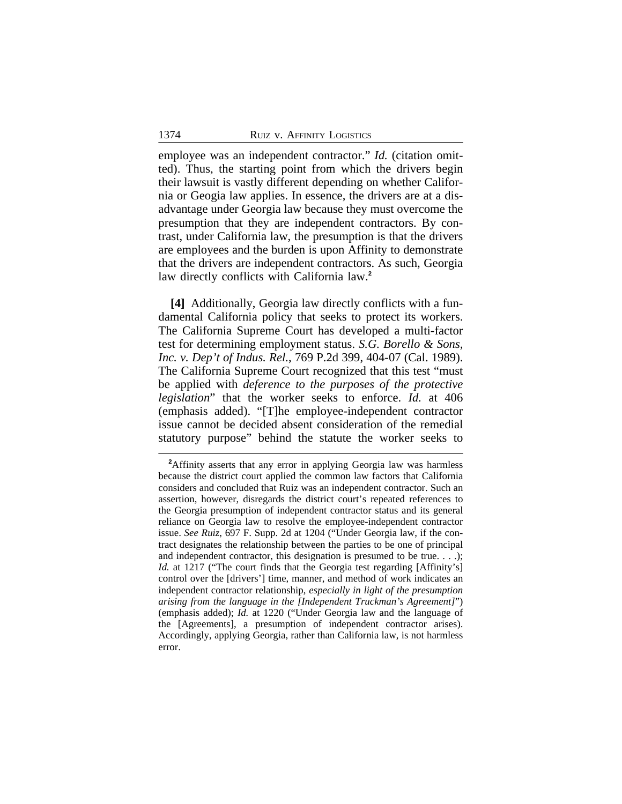employee was an independent contractor." *Id.* (citation omitted). Thus, the starting point from which the drivers begin their lawsuit is vastly different depending on whether California or Geogia law applies. In essence, the drivers are at a disadvantage under Georgia law because they must overcome the presumption that they are independent contractors. By contrast, under California law, the presumption is that the drivers are employees and the burden is upon Affinity to demonstrate that the drivers are independent contractors. As such, Georgia law directly conflicts with California law.**<sup>2</sup>**

**[4]** Additionally, Georgia law directly conflicts with a fundamental California policy that seeks to protect its workers. The California Supreme Court has developed a multi-factor test for determining employment status. *S.G. Borello & Sons, Inc. v. Dep't of Indus. Rel.*, 769 P.2d 399, 404-07 (Cal. 1989). The California Supreme Court recognized that this test "must be applied with *deference to the purposes of the protective legislation*" that the worker seeks to enforce. *Id.* at 406 (emphasis added). "[T]he employee-independent contractor issue cannot be decided absent consideration of the remedial statutory purpose" behind the statute the worker seeks to

<sup>&</sup>lt;sup>2</sup>Affinity asserts that any error in applying Georgia law was harmless because the district court applied the common law factors that California considers and concluded that Ruiz was an independent contractor. Such an assertion, however, disregards the district court's repeated references to the Georgia presumption of independent contractor status and its general reliance on Georgia law to resolve the employee-independent contractor issue. *See Ruiz*, 697 F. Supp. 2d at 1204 ("Under Georgia law, if the contract designates the relationship between the parties to be one of principal and independent contractor, this designation is presumed to be true. . . .); *Id.* at 1217 ("The court finds that the Georgia test regarding [Affinity's] control over the [drivers'] time, manner, and method of work indicates an independent contractor relationship, *especially in light of the presumption arising from the language in the [Independent Truckman's Agreement]*") (emphasis added); *Id.* at 1220 ("Under Georgia law and the language of the [Agreements], a presumption of independent contractor arises). Accordingly, applying Georgia, rather than California law, is not harmless error.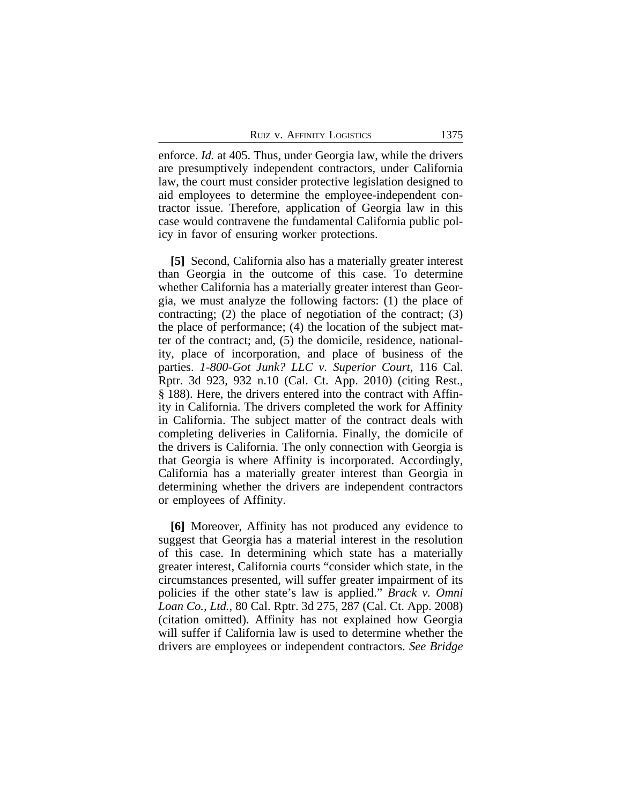enforce. *Id.* at 405. Thus, under Georgia law, while the drivers are presumptively independent contractors, under California law, the court must consider protective legislation designed to aid employees to determine the employee-independent contractor issue. Therefore, application of Georgia law in this case would contravene the fundamental California public policy in favor of ensuring worker protections.

**[5]** Second, California also has a materially greater interest than Georgia in the outcome of this case. To determine whether California has a materially greater interest than Georgia, we must analyze the following factors: (1) the place of contracting; (2) the place of negotiation of the contract; (3) the place of performance; (4) the location of the subject matter of the contract; and, (5) the domicile, residence, nationality, place of incorporation, and place of business of the parties. *1-800-Got Junk? LLC v. Superior Court*, 116 Cal. Rptr. 3d 923, 932 n.10 (Cal. Ct. App. 2010) (citing Rest., § 188). Here, the drivers entered into the contract with Affinity in California. The drivers completed the work for Affinity in California. The subject matter of the contract deals with completing deliveries in California. Finally, the domicile of the drivers is California. The only connection with Georgia is that Georgia is where Affinity is incorporated. Accordingly, California has a materially greater interest than Georgia in determining whether the drivers are independent contractors or employees of Affinity.

**[6]** Moreover, Affinity has not produced any evidence to suggest that Georgia has a material interest in the resolution of this case. In determining which state has a materially greater interest, California courts "consider which state, in the circumstances presented, will suffer greater impairment of its policies if the other state's law is applied." *Brack v. Omni Loan Co., Ltd.*, 80 Cal. Rptr. 3d 275, 287 (Cal. Ct. App. 2008) (citation omitted). Affinity has not explained how Georgia will suffer if California law is used to determine whether the drivers are employees or independent contractors. *See Bridge*